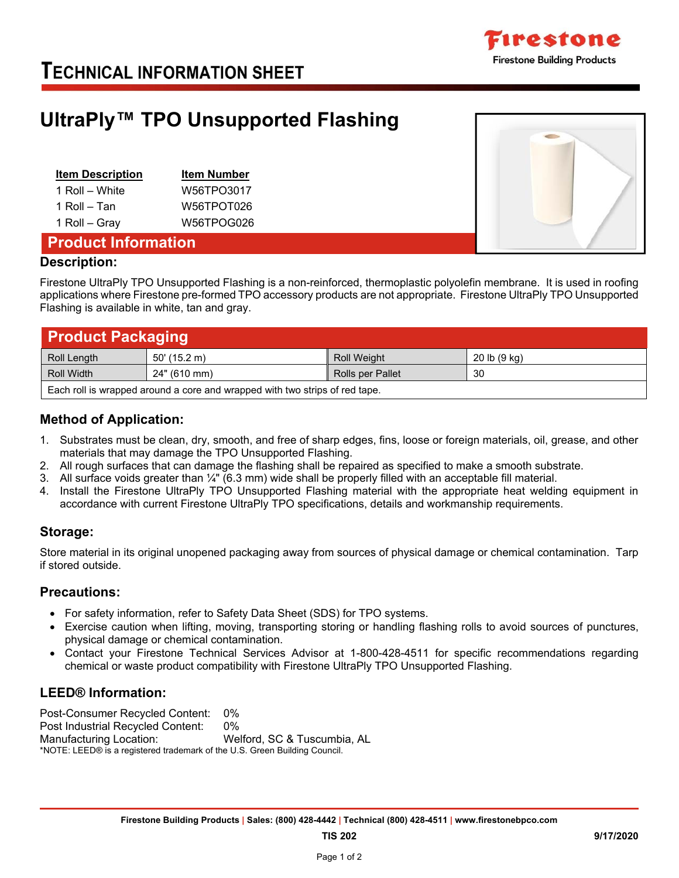

## **TECHNICAL INFORMATION SHEET**

## **UltraPly™ TPO Unsupported Flashing**

| <b>Item Description</b> | <b>Item Number</b> |
|-------------------------|--------------------|
| 1 Roll – White          | W56TPO3017         |
| 1 Roll – Tan            | W56TPOT026         |
| 1 Roll - Gray           | W56TPOG026         |



## **Product Information**

#### **Description:**

Firestone UltraPly TPO Unsupported Flashing is a non-reinforced, thermoplastic polyolefin membrane. It is used in roofing applications where Firestone pre-formed TPO accessory products are not appropriate. Firestone UltraPly TPO Unsupported Flashing is available in white, tan and gray.

| <b>Product Packaging</b>                                                    |                |                         |              |  |
|-----------------------------------------------------------------------------|----------------|-------------------------|--------------|--|
| Roll Length                                                                 | $50'$ (15.2 m) | <b>Roll Weight</b>      | 20 lb (9 kg) |  |
| Roll Width                                                                  | 24" (610 mm)   | <b>Rolls per Pallet</b> | 30           |  |
| Each roll is wrapped around a core and wrapped with two strips of red tape. |                |                         |              |  |

## **Method of Application:**

- 1. Substrates must be clean, dry, smooth, and free of sharp edges, fins, loose or foreign materials, oil, grease, and other materials that may damage the TPO Unsupported Flashing.
- 2. All rough surfaces that can damage the flashing shall be repaired as specified to make a smooth substrate.
- 3. All surface voids greater than ¼" (6.3 mm) wide shall be properly filled with an acceptable fill material.
- 4. Install the Firestone UltraPly TPO Unsupported Flashing material with the appropriate heat welding equipment in accordance with current Firestone UltraPly TPO specifications, details and workmanship requirements.

### **Storage:**

Store material in its original unopened packaging away from sources of physical damage or chemical contamination. Tarp if stored outside.

### **Precautions:**

- For safety information, refer to Safety Data Sheet (SDS) for TPO systems.
- Exercise caution when lifting, moving, transporting storing or handling flashing rolls to avoid sources of punctures, physical damage or chemical contamination.
- Contact your Firestone Technical Services Advisor at 1-800-428-4511 for specific recommendations regarding chemical or waste product compatibility with Firestone UltraPly TPO Unsupported Flashing.

### **LEED® Information:**

Post-Consumer Recycled Content: 0% Post Industrial Recycled Content: 0% Manufacturing Location: Welford, SC & Tuscumbia, AL \*NOTE: LEED® is a registered trademark of the U.S. Green Building Council.